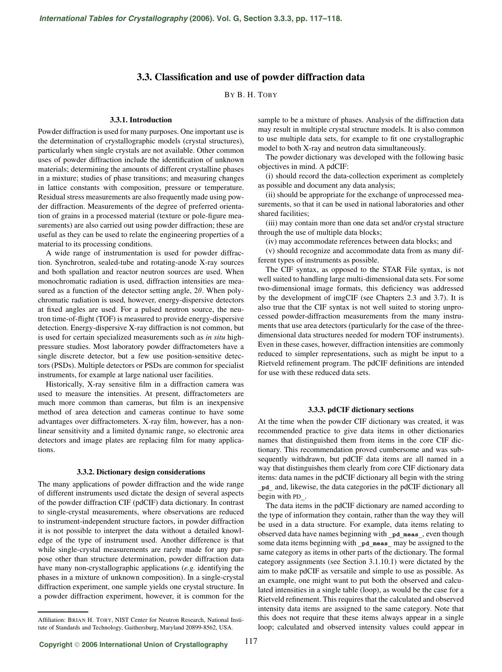# **3.3. Classification and use of powder diffraction data**

BY B. H. TOBY

### **3.3.1. Introduction**

Powder diffraction is used for many purposes. One important use is the determination of crystallographic models (crystal structures), particularly when single crystals are not available. Other common uses of powder diffraction include the identification of unknown materials; determining the amounts of different crystalline phases in a mixture; studies of phase transitions; and measuring changes in lattice constants with composition, pressure or temperature. Residual stress measurements are also frequently made using powder diffraction. Measurements of the degree of preferred orientation of grains in a processed material (texture or pole-figure measurements) are also carried out using powder diffraction; these are useful as they can be used to relate the engineering properties of a material to its processing conditions.

A wide range of instrumentation is used for powder diffraction. Synchrotron, sealed-tube and rotating-anode X-ray sources and both spallation and reactor neutron sources are used. When monochromatic radiation is used, diffraction intensities are measured as a function of the detector setting angle,  $2\theta$ . When polychromatic radiation is used, however, energy-dispersive detectors at fixed angles are used. For a pulsed neutron source, the neutron time-of-flight (TOF) is measured to provide energy-dispersive detection. Energy-dispersive X-ray diffraction is not common, but is used for certain specialized measurements such as *in situ* highpressure studies. Most laboratory powder diffractometers have a single discrete detector, but a few use position-sensitive detectors (PSDs). Multiple detectors or PSDs are common for specialist instruments, for example at large national user facilities.

Historically, X-ray sensitive film in a diffraction camera was used to measure the intensities. At present, diffractometers are much more common than cameras, but film is an inexpensive method of area detection and cameras continue to have some advantages over diffractometers. X-ray film, however, has a nonlinear sensitivity and a limited dynamic range, so electronic area detectors and image plates are replacing film for many applications.

#### **3.3.2. Dictionary design considerations**

The many applications of powder diffraction and the wide range of different instruments used dictate the design of several aspects of the powder diffraction CIF (pdCIF) data dictionary. In contrast to single-crystal measurements, where observations are reduced to instrument-independent structure factors, in powder diffraction it is not possible to interpret the data without a detailed knowledge of the type of instrument used. Another difference is that while single-crystal measurements are rarely made for any purpose other than structure determination, powder diffraction data have many non-crystallographic applications (*e.g.* identifying the phases in a mixture of unknown composition). In a single-crystal diffraction experiment, one sample yields one crystal structure. In a powder diffraction experiment, however, it is common for the

sample to be a mixture of phases. Analysis of the diffraction data may result in multiple crystal structure models. It is also common to use multiple data sets, for example to fit one crystallographic model to both X-ray and neutron data simultaneously.

The powder dictionary was developed with the following basic objectives in mind. A pdCIF:

(i) should record the data-collection experiment as completely as possible and document any data analysis;

(ii) should be appropriate for the exchange of unprocessed measurements, so that it can be used in national laboratories and other shared facilities;

(iii) may contain more than one data set and/or crystal structure through the use of multiple data blocks;

(iv) may accommodate references between data blocks; and

(v) should recognize and accommodate data from as many different types of instruments as possible.

The CIF syntax, as opposed to the STAR File syntax, is not well suited to handling large multi-dimensional data sets. For some two-dimensional image formats, this deficiency was addressed by the development of imgCIF (see Chapters 2.3 and 3.7). It is also true that the CIF syntax is not well suited to storing unprocessed powder-diffraction measurements from the many instruments that use area detectors (particularly for the case of the threedimensional data structures needed for modern TOF instruments). Even in these cases, however, diffraction intensities are commonly reduced to simpler representations, such as might be input to a Rietveld refinement program. The pdCIF definitions are intended for use with these reduced data sets.

#### **3.3.3. pdCIF dictionary sections**

At the time when the powder CIF dictionary was created, it was recommended practice to give data items in other dictionaries names that distinguished them from items in the core CIF dictionary. This recommendation proved cumbersome and was subsequently withdrawn, but pdCIF data items are all named in a way that distinguishes them clearly from core CIF dictionary data items: data names in the pdCIF dictionary all begin with the string **\_pd\_** and, likewise, the data categories in the pdCIF dictionary all begin with PD**\_**.

The data items in the pdCIF dictionary are named according to the type of information they contain, rather than the way they will be used in a data structure. For example, data items relating to observed data have names beginning with **\_pd\_meas\_**, even though some data items beginning with **\_pd\_meas\_** may be assigned to the same category as items in other parts of the dictionary. The formal category assignments (see Section 3.1.10.1) were dictated by the aim to make pdCIF as versatile and simple to use as possible. As an example, one might want to put both the observed and calculated intensities in a single table (loop), as would be the case for a Rietveld refinement. This requires that the calculated and observed intensity data items are assigned to the same category. Note that this does not require that these items always appear in a single loop; calculated and observed intensity values could appear in

Affiliation: BRIAN H. TOBY, NIST Center for Neutron Research, National Institute of Standards and Technology, Gaithersburg, Maryland 20899-8562, USA.